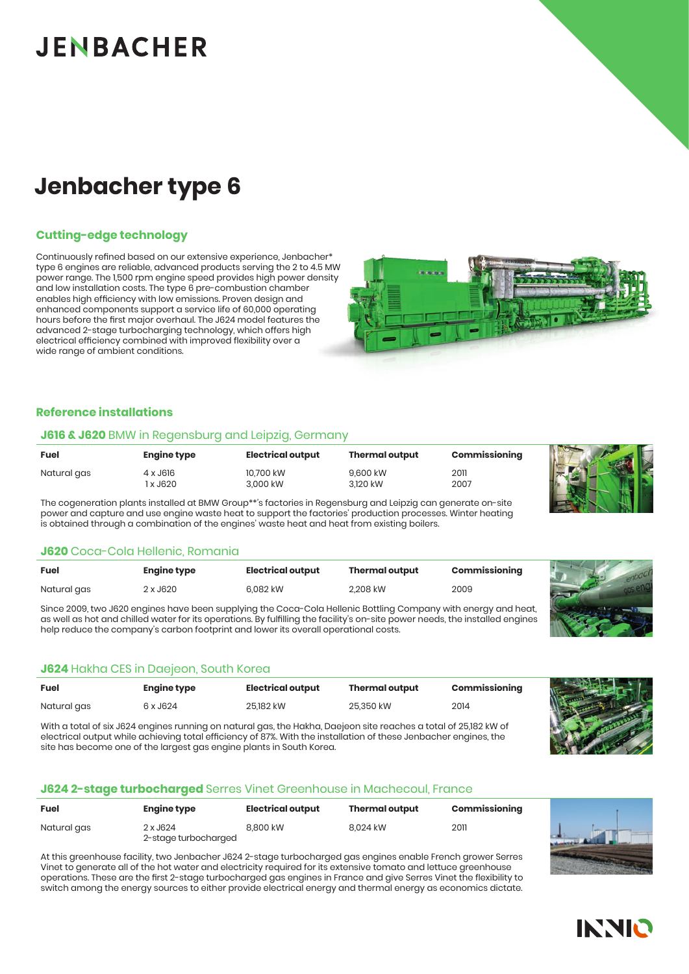# **JENBACHER**

## **Jenbacher type 6**

#### **Cutting-edge technology**

Continuously refined based on our extensive experience, Jenbacher\* type 6 engines are reliable, advanced products serving the 2 to 4.5 MW power range. The 1,500 rpm engine speed provides high power density and low installation costs. The type 6 pre-combustion chamber enables high efficiency with low emissions. Proven design and enhanced components support a service life of 60,000 operating hours before the first major overhaul. The J624 model features the advanced 2-stage turbocharging technology, which offers high electrical efficiency combined with improved flexibility over a wide range of ambient conditions.



#### **Reference installations**

#### **J616 & J620** BMW in Regensburg and Leipzig, Germany

| <b>Fuel</b> | <b>Engine type</b> | <b>Electrical output</b> | <b>Thermal output</b> | Commissioning |   |
|-------------|--------------------|--------------------------|-----------------------|---------------|---|
| Natural gas | 4 x J616           | 10.700 kW                | 9.600 kW              | 2011          | K |
|             | x J620             | 3,000 kW                 | 3.120 kW              | 2007          |   |

The cogeneration plants installed at BMW Group\*\**'*s factories in Regensburg and Leipzig can generate on-site power and capture and use engine waste heat to support the factories' production processes. Winter heating is obtained through a combination of the engines' waste heat and heat from existing boilers.

#### **J620** Coca-Cola Hellenic, Romania

| Fuel        | <b>Engine type</b> | Electrical output | <b>Thermal output</b> | Commissioning |
|-------------|--------------------|-------------------|-----------------------|---------------|
| Natural gas | 2 x J620           | 6.082 kW          | 2.208 kW              | 2009          |

Since 2009, two J620 engines have been supplying the Coca-Cola Hellenic Bottling Company with energy and heat, as well as hot and chilled water for its operations. By fulfilling the facility's on-site power needs, the installed engines help reduce the company's carbon footprint and lower its overall operational costs.

#### **J624** Hakha CES in Daejeon, South Korea

| <b>Fuel</b> | <b>Engine type</b> | Electrical output | <b>Thermal output</b> | Commissioning |
|-------------|--------------------|-------------------|-----------------------|---------------|
| Natural gas | 6 x J624           | 25.182 kW         | 25.350 kW             | 2014          |
|             |                    |                   |                       | . <i>. .</i>  |

With a total of six J624 engines running on natural gas, the Hakha, Daejeon site reaches a total of 25,182 kW of electrical output while achieving total efficiency of 87%. With the installation of these Jenbacher engines, the site has become one of the largest gas engine plants in South Korea.

#### **J624 2-stage turbocharged** Serres Vinet Greenhouse in Machecoul, France

| Fuel        | <b>Engine type</b>               | Electrical output | <b>Thermal output</b> | Commissioning |
|-------------|----------------------------------|-------------------|-----------------------|---------------|
| Natural gas | 2 x J624<br>2-stage turbocharged | 8.800 kW          | 8.024 kW              | 2011          |

At this greenhouse facility, two Jenbacher J624 2-stage turbocharged gas engines enable French grower Serres Vinet to generate all of the hot water and electricity required for its extensive tomato and lettuce greenhouse operations. These are the first 2-stage turbocharged gas engines in France and give Serres Vinet the flexibility to switch among the energy sources to either provide electrical energy and thermal energy as economics dictate.







# **INNIO**